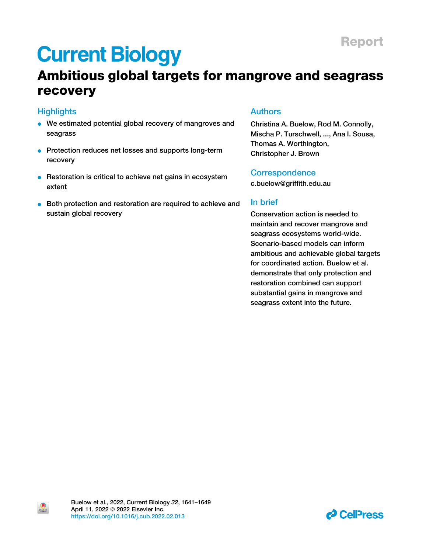# Ambitious global targets for mangrove and seagrass recovery

### **Highlights**

 $\bullet$ 

- We estimated potential global recovery of mangroves and seagrass
- Protection reduces net losses and supports long-term recovery
- Restoration is critical to achieve net gains in ecosystem extent
- **Both protection and restoration are required to achieve and** sustain global recovery

### Authors

Christina A. Buelow, Rod M. Connolly, Mischa P. Turschwell, ..., Ana I. Sousa, Thomas A. Worthington, Christopher J. Brown

### **Correspondence**

[c.buelow@griffith.edu.au](mailto:c.buelow@griffith.edu.au)

### In brief

Conservation action is needed to maintain and recover mangrove and seagrass ecosystems world-wide. Scenario-based models can inform ambitious and achievable global targets for coordinated action. Buelow et al. demonstrate that only protection and restoration combined can support substantial gains in mangrove and seagrass extent into the future.

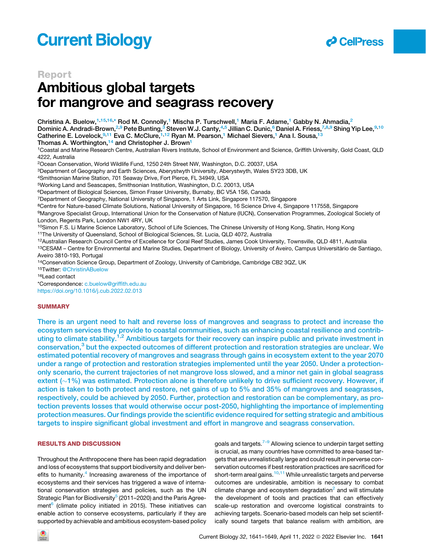

### Report

# Ambitious global targets for mangrove and seagrass recovery

Christina A. Buelow,<sup>[1,](#page-1-0)[15,](#page-1-1)[16,](#page-1-2)[\\*](#page-1-3)</sup> Rod M. Connolly,<sup>[1](#page-1-0)</sup> Mischa P. Turschwell,<sup>1</sup> Maria F. Adame,<sup>1</sup> Gabby N. Ahmadia,<sup>[2](#page-1-4)</sup> Dominic A. Andradi-Brown,<sup>2,[9](#page-1-5)</sup> Pete Bunting,<sup>3</sup> Steven W.J. Canty,<sup>4,[5](#page-1-8)</sup> Jillian C. Dunic,<sup>6</sup> Daniel A. Friess,<sup>[7,](#page-1-10)[8,](#page-1-11)9</sup> Shing Yip Lee,<sup>9,[10](#page-1-12)</sup> Catherine E. Lovelock, [9,](#page-1-5)[11](#page-1-13) Eva C. McClure, 1,[12](#page-1-14) Ryan M. Pearson, [1](#page-1-0) Michael Sievers, 1 Ana I. Sousa, [13](#page-1-15)

Thomas A. Worthington,<sup>[14](#page-1-16)</sup> and Christopher J. Brown<sup>[1](#page-1-0)</sup>

<span id="page-1-0"></span>1Coastal and Marine Research Centre, Australian Rivers Institute, School of Environment and Science, Griffith University, Gold Coast, QLD 4222, Australia

<span id="page-1-4"></span>2Ocean Conservation, World Wildlife Fund, 1250 24th Street NW, Washington, D.C. 20037, USA

<span id="page-1-6"></span>3Department of Geography and Earth Sciences, Aberystwyth University, Aberystwyth, Wales SY23 3DB, UK

<span id="page-1-7"></span>4Smithsonian Marine Station, 701 Seaway Drive, Fort Pierce, FL 34949, USA

<span id="page-1-8"></span>5Working Land and Seascapes, Smithsonian Institution, Washington, D.C. 20013, USA

<span id="page-1-9"></span>6Department of Biological Sciences, Simon Fraser University, Burnaby, BC V5A 1S6, Canada

<span id="page-1-10"></span>7Department of Geography, National University of Singapore, 1 Arts Link, Singapore 117570, Singapore

<span id="page-1-11"></span>8Centre for Nature-based Climate Solutions, National University of Singapore, 16 Science Drive 4, Singapore 117558, Singapore

<span id="page-1-5"></span>9Mangrove Specialist Group, International Union for the Conservation of Nature (IUCN), Conservation Programmes, Zoological Society of London, Regents Park, London NW1 4RY, UK

<span id="page-1-12"></span>10Simon F.S. Li Marine Science Laboratory, School of Life Sciences, The Chinese University of Hong Kong, Shatin, Hong Kong

<span id="page-1-13"></span><sup>11</sup>The University of Queensland, School of Biological Sciences, St. Lucia, QLD 4072, Australia

<span id="page-1-14"></span>12Australian Research Council Centre of Excellence for Coral Reef Studies, James Cook University, Townsville, QLD 4811, Australia

<span id="page-1-15"></span>13CESAM – Centre for Environmental and Marine Studies, Department of Biology, University of Aveiro, Campus Universitário de Santiago, Aveiro 3810-193, Portugal

<span id="page-1-16"></span>14Conservation Science Group, Department of Zoology, University of Cambridge, Cambridge CB2 3QZ, UK

<span id="page-1-1"></span>15Twitter: [@ChristinABuelow](https://twitter.com/ChristinABuelow)

<span id="page-1-2"></span>16Lead contact

<span id="page-1-3"></span>\*Correspondence: [c.buelow@griffith.edu.au](mailto:c.buelow@griffith.edu.au) <https://doi.org/10.1016/j.cub.2022.02.013>

#### **SUMMARY**

There is an urgent need to halt and reverse loss of mangroves and seagrass to protect and increase the ecosystem services they provide to coastal communities, such as enhancing coastal resilience and contrib-uting to climate stability.<sup>1,[2](#page-7-1)</sup> Ambitious targets for their recovery can inspire public and private investment in conservation,<sup>[3](#page-7-2)</sup> but the expected outcomes of different protection and restoration strategies are unclear. We estimated potential recovery of mangroves and seagrass through gains in ecosystem extent to the year 2070 under a range of protection and restoration strategies implemented until the year 2050. Under a protectiononly scenario, the current trajectories of net mangrove loss slowed, and a minor net gain in global seagrass extent  $(\sim1\%)$  was estimated. Protection alone is therefore unlikely to drive sufficient recovery. However, if action is taken to both protect and restore, net gains of up to 5% and 35% of mangroves and seagrasses, respectively, could be achieved by 2050. Further, protection and restoration can be complementary, as protection prevents losses that would otherwise occur post-2050, highlighting the importance of implementing protection measures. Our findings provide the scientific evidence required for setting strategic and ambitious targets to inspire significant global investment and effort in mangrove and seagrass conservation.

#### RESULTS AND DISCUSSION

Throughout the Anthropocene there has been rapid degradation and loss of ecosystems that support biodiversity and deliver ben-efits to humanity.<sup>[4](#page-8-0)</sup> Increasing awareness of the importance of ecosystems and their services has triggered a wave of international conservation strategies and policies, such as the UN Strategic Plan for Biodiversity<sup>[5](#page-8-1)</sup> (2011–2020) and the Paris Agreement $^6$  (climate policy initiated in 2015). These initiatives can enable action to conserve ecosystems, particularly if they are supported by achievable and ambitious ecosystem-based policy goals and targets. $7-9$  Allowing science to underpin target setting is crucial, as many countries have committed to area-based targets that are unrealistically large and could result in perverse conservation outcomes if best restoration practices are sacrificed for short-term areal gains.<sup>[10,](#page-8-4)[11](#page-8-5)</sup> While unrealistic targets and perverse outcomes are undesirable, ambition is necessary to combat climate change and ecosystem degradation $2$  and will stimulate the development of tools and practices that can effectively scale-up restoration and overcome logistical constraints to achieving targets. Scenario-based models can help set scientifically sound targets that balance realism with ambition, are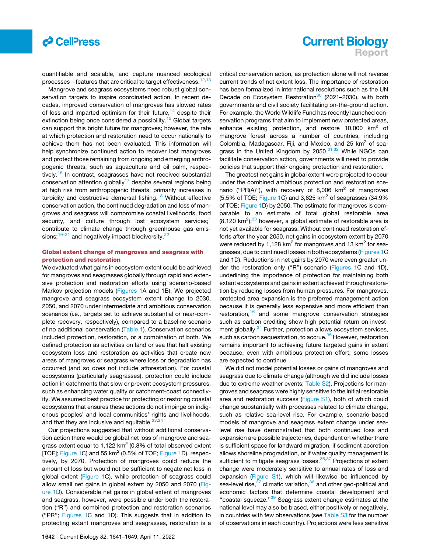

quantifiable and scalable, and capture nuanced ecological processes-features that are critical to target effectiveness.<sup>1</sup>

Mangrove and seagrass ecosystems need robust global conservation targets to inspire coordinated action. In recent decades, improved conservation of mangroves has slowed rates of loss and imparted optimism for their future, $14$  despite their extinction being once considered a possibility.<sup>[15](#page-8-9)</sup> Global targets can support this bright future for mangroves; however, the rate at which protection and restoration need to occur nationally to achieve them has not been evaluated. This information will help synchronize continued action to recover lost mangroves and protect those remaining from ongoing and emerging anthropogenic threats, such as aquaculture and oil palm, respec-tively.<sup>[16](#page-8-10)</sup> In contrast, seagrasses have not received substantial conservation attention globally<sup>[17](#page-8-11)</sup> despite several regions being at high risk from anthropogenic threats, primarily increases in turbidity and destructive demersal fishing.<sup>[18](#page-8-12)</sup> Without effective conservation action, the continued degradation and loss of mangroves and seagrass will compromise coastal livelihoods, food security, and culture through lost ecosystem services;<sup>[1](#page-7-0)</sup> contribute to climate change through greenhouse gas emis-sions;<sup>[19–21](#page-8-13)</sup> and negatively impact biodiversity.<sup>[22](#page-8-14)</sup>

#### Global extent change of mangroves and seagrass with protection and restoration

We evaluated what gains in ecosystem extent could be achieved for mangroves and seagrasses globally through rapid and extensive protection and restoration efforts using scenario-based Markov projection models [\(Figures 1A](#page-3-0) and 1B). We projected mangrove and seagrass ecosystem extent change to 2030, 2050, and 2070 under intermediate and ambitious conservation scenarios (i.e., targets set to achieve substantial or near-complete recovery, respectively), compared to a baseline scenario of no additional conservation ([Table 1\)](#page-4-0). Conservation scenarios included protection, restoration, or a combination of both. We defined protection as activities on land or sea that halt existing ecosystem loss and restoration as activities that create new areas of mangroves or seagrass where loss or degradation has occurred (and so does not include afforestation). For coastal ecosystems (particularly seagrasses), protection could include action in catchments that slow or prevent ecosystem pressures, such as enhancing water quality or catchment-coast connectivity. We assumed best practice for protecting or restoring coastal ecosystems that ensures these actions do not impinge on indigenous peoples' and local communities' rights and livelihoods, and that they are inclusive and equitable. $2<sup>2</sup>$ 

Our projections suggested that without additional conservation action there would be global net loss of mangrove and seagrass extent equal to 1,122  $km^2$  (0.8% of total observed extent [TOE]; [Figure 1C](#page-3-0)) and 55 km<sup>2</sup> (0.5% of TOE; [Figure 1](#page-3-0)D), respectively, by 2070. Protection of mangroves could reduce the amount of loss but would not be sufficient to negate net loss in global extent [\(Figure 1](#page-3-0)C), while protection of seagrass could allow small net gains in global extent by 2050 and 2070 [\(Fig](#page-3-0)[ure 1D](#page-3-0)). Considerable net gains in global extent of mangroves and seagrass, however, were possible under both the restoration (''R'') and combined protection and restoration scenarios (''PR''; [Figures 1](#page-3-0)C and 1D). This suggests that in addition to protecting extant mangroves and seagrasses, restoration is a

# **Current Biology** Report

critical conservation action, as protection alone will not reverse current trends of net extent loss. The importance of restoration has been formalized in international resolutions such as the UN Decade on Ecosystem Restoration<sup>[30](#page-8-17)</sup> (2021–2030), with both governments and civil society facilitating on-the-ground action. For example, the World Wildlife Fund has recently launched conservation programs that aim to implement new protected areas, enhance existing protection, and restore  $10,000$  km<sup>2</sup> of mangrove forest across a number of countries, including Colombia, Madagascar, Fiji, and Mexico, and 25  $km<sup>2</sup>$  of sea-grass in the United Kingdom by 2050.<sup>[31,](#page-8-18)[32](#page-8-19)</sup> While NGOs can facilitate conservation action, governments will need to provide policies that support their ongoing protection and restoration.

The greatest net gains in global extent were projected to occur under the combined ambitious protection and restoration scenario ("PR(A)"), with recovery of 8,006  $km^2$  of mangroves  $(5.5\% \text{ of TOE}; \text{Figure 1C})$  $(5.5\% \text{ of TOE}; \text{Figure 1C})$  $(5.5\% \text{ of TOE}; \text{Figure 1C})$  and 3,625 km<sup>2</sup> of seagrasses (34.9%) of TOE; [Figure 1](#page-3-0)D) by 2050. The estimate for mangroves is comparable to an estimate of total global restorable area  $(8,120 \text{ km}^2)$ ;<sup>[33](#page-8-20)</sup> however, a global estimate of restorable area is not yet available for seagrass. Without continued restoration efforts after the year 2050, net gains in ecosystem extent by 2070 were reduced by 1,128  $km^2$  for mangroves and 13  $km^2$  for seagrasses, due to continued losses in both ecosystems ([Figures 1C](#page-3-0) and 1D). Reductions in net gains by 2070 were even greater under the restoration only (''R'') scenario [\(Figures 1](#page-3-0)C and 1D), underlining the importance of protection for maintaining both extant ecosystems and gains in extent achieved through restoration by reducing losses from human pressures. For mangroves, protected area expansion is the preferred management action because it is generally less expensive and more efficient than restoration,<sup>[16](#page-8-10)</sup> and some mangrove conservation strategies such as carbon crediting show high potential return on invest-ment globally.<sup>[34](#page-8-21)</sup> Further, protection allows ecosystem services, such as carbon sequestration, to accrue.<sup>[35](#page-8-22)</sup> However, restoration remains important to achieving future targeted gains in extent because, even with ambitious protection effort, some losses are expected to continue.

We did not model potential losses or gains of mangroves and seagrass due to climate change (although we did include losses due to extreme weather events; [Table S2](#page-7-3)). Projections for mangroves and seagrass were highly sensitive to the initial restorable area and restoration success [\(Figure S1](#page-7-3)), both of which could change substantially with processes related to climate change, such as relative sea-level rise. For example, scenario-based models of mangrove and seagrass extent change under sealevel rise have demonstrated that both continued loss and expansion are possible trajectories, dependent on whether there is sufficient space for landward migration, if sediment accretion allows shoreline progradation, or if water quality management is sufficient to mitigate seagrass losses.<sup>[36](#page-8-23)[,37](#page-8-24)</sup> Projections of extent change were moderately sensitive to annual rates of loss and expansion ([Figure S1](#page-7-3)), which will likewise be influenced by sea-level rise,<sup>[37](#page-8-24)</sup> climatic variation,<sup>[38](#page-8-25)</sup> and other geo-political and economic factors that determine coastal development and "coastal squeeze."<sup>[39](#page-8-26)</sup> Seagrass extent change estimates at the national level may also be biased, either positively or negatively, in countries with few observations (see [Table S3](#page-7-3) for the number of observations in each country). Projections were less sensitive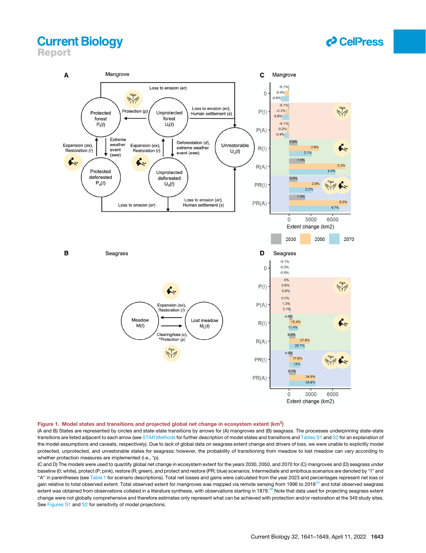<span id="page-3-0"></span>Report



#### Figure 1. Model states and transitions and projected global net change in ecosystem extent ( $km^2$ )

(A and B) States are represented by circles and state-state transitions by arrows for (A) mangroves and (B) seagrass. The processes underpinning state-state transitions are listed adjacent to each arrow (see [STAR Methods](#page-10-0) for further description of model states and transitions and [Tables S1](#page-7-3) and [S2](#page-7-3) for an explanation of the model assumptions and caveats, respectively). Due to lack of global data on seagrass extent change and drivers of loss, we were unable to explicitly model protected, unprotected, and unrestorable states for seagrass; however, the probability of transitioning from meadow to lost meadow can vary according to whether protection measures are implemented (i.e., \*p).

(C and D) The models were used to quantify global net change in ecosystem extent for the years 2030, 2050, and 2070 for (C) mangroves and (D) seagrass under baseline (0; white), protect (P; pink), restore (R; green), and protect and restore (PR; blue) scenarios. Intermediate and ambitious scenarios are denoted by ''I'' and "A" in parentheses (see [Table 1](#page-4-0) for scenario descriptions). Total net losses and gains were calculated from the year 2023 and percentages represent net loss or gain relative to total observed extent. Total observed extent for mangroves was mapped via remote sensing from 1996 to 2016<sup>[25](#page-8-27)</sup> and total observed seagrass extent was obtained from observations collated in a literature synthesis, with observations starting in 1879.<sup>[26](#page-8-28)</sup> Note that data used for projecting seagrass extent change were not globally comprehensive and therefore estimates only represent what can be achieved with protection and/or restoration at the 349 study sites. See [Figures S1](#page-7-3) and [S2](#page-7-3) for sensitivity of model projections.

*d* CellPress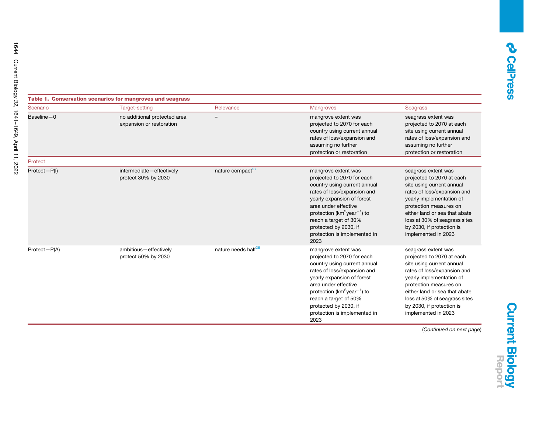<span id="page-4-0"></span>

| Table 1. Conservation scenarios for mangroves and seagrass |                                                          |                                 |                                                                                                                                                                                                                                                                                                                 |                                                                                                                                                                                                                                                                                          |
|------------------------------------------------------------|----------------------------------------------------------|---------------------------------|-----------------------------------------------------------------------------------------------------------------------------------------------------------------------------------------------------------------------------------------------------------------------------------------------------------------|------------------------------------------------------------------------------------------------------------------------------------------------------------------------------------------------------------------------------------------------------------------------------------------|
| Scenario                                                   | Target-setting                                           | Relevance                       | <b>Mangroves</b>                                                                                                                                                                                                                                                                                                | <b>Seagrass</b>                                                                                                                                                                                                                                                                          |
| Baseline-0                                                 | no additional protected area<br>expansion or restoration |                                 | mangrove extent was<br>projected to 2070 for each<br>country using current annual<br>rates of loss/expansion and<br>assuming no further<br>protection or restoration                                                                                                                                            | seagrass extent was<br>projected to 2070 at each<br>site using current annual<br>rates of loss/expansion and<br>assuming no further<br>protection or restoration                                                                                                                         |
| Protect                                                    |                                                          |                                 |                                                                                                                                                                                                                                                                                                                 |                                                                                                                                                                                                                                                                                          |
| Protect-P(I)                                               | intermediate-effectively<br>protect 30% by 2030          | nature compact <sup>27</sup>    | mangrove extent was<br>projected to 2070 for each<br>country using current annual<br>rates of loss/expansion and<br>yearly expansion of forest<br>area under effective<br>protection ( $km^2$ year <sup>-1</sup> ) to<br>reach a target of 30%<br>protected by 2030, if<br>protection is implemented in<br>2023 | seagrass extent was<br>projected to 2070 at each<br>site using current annual<br>rates of loss/expansion and<br>yearly implementation of<br>protection measures on<br>either land or sea that abate<br>loss at 30% of seagrass sites<br>by 2030, if protection is<br>implemented in 2023 |
| Protect-P(A)                                               | ambitious-effectively<br>protect 50% by 2030             | nature needs half <sup>28</sup> | mangrove extent was<br>projected to 2070 for each<br>country using current annual<br>rates of loss/expansion and<br>yearly expansion of forest<br>area under effective<br>protection ( $km^2$ year <sup>-1</sup> ) to<br>reach a target of 50%<br>protected by 2030, if<br>protection is implemented in         | seagrass extent was<br>projected to 2070 at each<br>site using current annual<br>rates of loss/expansion and<br>yearly implementation of<br>protection measures on<br>either land or sea that abate<br>loss at 50% of seagrass sites<br>by 2030, if protection is<br>implemented in 2023 |

2023

(*Continued on next page*)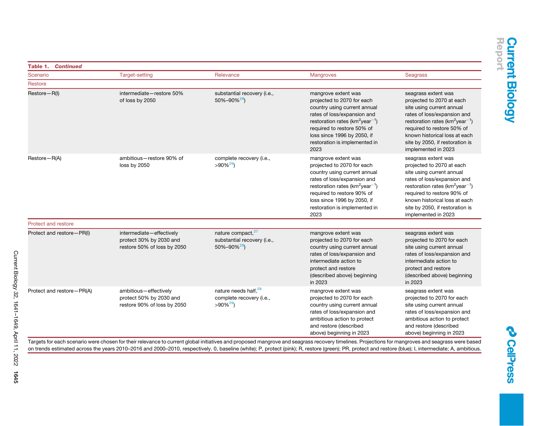| <b>Table 1. Continued</b>  |                                                                                    |                                                                                    |                                                                                                                                                                                                                                                                           |                                                                                                                                                                                                                                                                                          |  |
|----------------------------|------------------------------------------------------------------------------------|------------------------------------------------------------------------------------|---------------------------------------------------------------------------------------------------------------------------------------------------------------------------------------------------------------------------------------------------------------------------|------------------------------------------------------------------------------------------------------------------------------------------------------------------------------------------------------------------------------------------------------------------------------------------|--|
| Scenario                   | <b>Target-setting</b>                                                              | Relevance                                                                          | Mangroves                                                                                                                                                                                                                                                                 | Seagrass                                                                                                                                                                                                                                                                                 |  |
| Restore                    |                                                                                    |                                                                                    |                                                                                                                                                                                                                                                                           |                                                                                                                                                                                                                                                                                          |  |
| Restore-R(I)               | intermediate-restore 50%<br>of loss by 2050                                        | substantial recovery (i.e.,<br>$50\% - 90\%^{29}$                                  | mangrove extent was<br>projected to 2070 for each<br>country using current annual<br>rates of loss/expansion and<br>restoration rates ( $km^2$ year <sup>-1</sup> )<br>required to restore 50% of<br>loss since 1996 by 2050, if<br>restoration is implemented in<br>2023 | seagrass extent was<br>projected to 2070 at each<br>site using current annual<br>rates of loss/expansion and<br>restoration rates ( $km^2$ year <sup>-1</sup> )<br>required to restore 50% of<br>known historical loss at each<br>site by 2050, if restoration is<br>implemented in 2023 |  |
| Restore-R(A)               | ambitious-restore 90% of<br>loss by 2050                                           | complete recovery (i.e.,<br>$>90\%^{29}$                                           | mangrove extent was<br>projected to 2070 for each<br>country using current annual<br>rates of loss/expansion and<br>restoration rates ( $km^2$ year <sup>-1</sup> )<br>required to restore 90% of<br>loss since 1996 by 2050, if<br>restoration is implemented in<br>2023 | seagrass extent was<br>projected to 2070 at each<br>site using current annual<br>rates of loss/expansion and<br>restoration rates ( $km^2$ year <sup>-1</sup> )<br>required to restore 90% of<br>known historical loss at each<br>site by 2050, if restoration is<br>implemented in 2023 |  |
| <b>Protect and restore</b> |                                                                                    |                                                                                    |                                                                                                                                                                                                                                                                           |                                                                                                                                                                                                                                                                                          |  |
| Protect and restore-PR(I)  | intermediate-effectively<br>protect 30% by 2030 and<br>restore 50% of loss by 2050 | nature compact, <sup>27</sup><br>substantial recovery (i.e.,<br>$50\% - 90\%^{29}$ | mangrove extent was<br>projected to 2070 for each<br>country using current annual<br>rates of loss/expansion and<br>intermediate action to<br>protect and restore<br>(described above) beginning<br>in 2023                                                               | seagrass extent was<br>projected to 2070 for each<br>site using current annual<br>rates of loss/expansion and<br>intermediate action to<br>protect and restore<br>(described above) beginning<br>in 2023                                                                                 |  |
| Protect and restore-PR(A)  | ambitious-effectively<br>protect 50% by 2030 and<br>restore 90% of loss by 2050    | nature needs half, 28<br>complete recovery (i.e.,<br>$>90\%^{29}$                  | mangrove extent was<br>projected to 2070 for each<br>country using current annual<br>rates of loss/expansion and<br>ambitious action to protect<br>and restore (described<br>above) beginning in 2023                                                                     | seagrass extent was<br>projected to 2070 for each<br>site using current annual<br>rates of loss/expansion and<br>ambitious action to protect<br>and restore (described<br>above) beginning in 2023                                                                                       |  |

Targets for each scenario were chosen for their relevance to current global initiatives and proposed mangrove and seagrass recovery timelines. Projections for mangroves and seagrass were based on trends estimated across the years 2010–2016 and 2000–2010, respectively. 0, baseline (white); P, protect (pink); R, restore (green); PR, protect and restore (blue); I, intermediate; A, ambitious.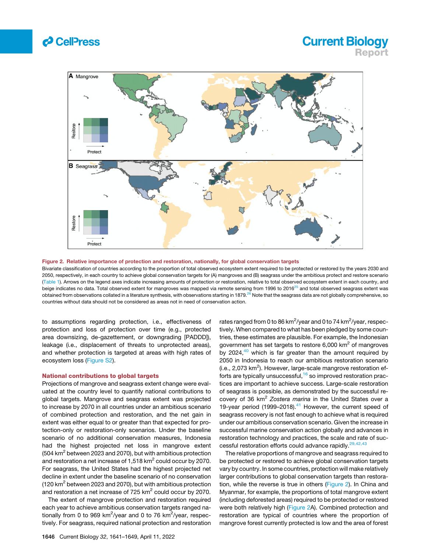

## **Current Biology** Report

<span id="page-6-0"></span>

Figure 2. Relative importance of protection and restoration, nationally, for global conservation targets

Bivariate classification of countries according to the proportion of total observed ecosystem extent required to be protected or restored by the years 2030 and 2050, respectively, in each country to achieve global conservation targets for (A) mangroves and (B) seagrass under the ambitious protect and restore scenario ([Table 1\)](#page-4-0). Arrows on the legend axes indicate increasing amounts of protection or restoration, relative to total observed ecosystem extent in each country, and beige indicates no data. Total observed extent for mangroves was mapped via remote sensing from 1996 to 2016<sup>[25](#page-8-27)</sup> and total observed seagrass extent was obtained from observations collated in a literature synthesis, with observations starting in 1879.<sup>[26](#page-8-28)</sup> Note that the seagrass data are not globally comprehensive, so countries without data should not be considered as areas not in need of conservation action.

to assumptions regarding protection, i.e., effectiveness of protection and loss of protection over time (e.g., protected area downsizing, de-gazettement, or downgrading [PADDD]), leakage (i.e., displacement of threats to unprotected areas), and whether protection is targeted at areas with high rates of ecosystem loss [\(Figure S2](#page-7-3)).

#### National contributions to global targets

Projections of mangrove and seagrass extent change were evaluated at the country level to quantify national contributions to global targets. Mangrove and seagrass extent was projected to increase by 2070 in all countries under an ambitious scenario of combined protection and restoration, and the net gain in extent was either equal to or greater than that expected for protection-only or restoration-only scenarios. Under the baseline scenario of no additional conservation measures, Indonesia had the highest projected net loss in mangrove extent (504 km<sup>2</sup> between 2023 and 2070), but with ambitious protection and restoration a net increase of 1,518  $km^2$  could occur by 2070. For seagrass, the United States had the highest projected net decline in extent under the baseline scenario of no conservation (120 km<sup>2</sup> between 2023 and 2070), but with ambitious protection and restoration a net increase of 725  $km^2$  could occur by 2070.

The extent of mangrove protection and restoration required each year to achieve ambitious conservation targets ranged nationally from 0 to 969 km<sup>2</sup>/year and 0 to 76 km<sup>2</sup>/year, respectively. For seagrass, required national protection and restoration

rates ranged from 0 to 86 km $^2$ /year and 0 to 74 km $^2$ /year, respectively. When compared to what has been pledged by some countries, these estimates are plausible. For example, the Indonesian government has set targets to restore  $6,000$  km<sup>2</sup> of mangroves by 2024, $40$  which is far greater than the amount required by 2050 in Indonesia to reach our ambitious restoration scenario (i.e., 2,073 km<sup>2</sup>). However, large-scale mangrove restoration ef-forts are typically unsuccessful, <sup>[16](#page-8-10)</sup> so improved restoration practices are important to achieve success. Large-scale restoration of seagrass is possible, as demonstrated by the successful recovery of 36 km2 *Zostera marina* in the United States over a 19-year period (1999–2018). $41$  However, the current speed of seagrass recovery is not fast enough to achieve what is required under our ambitious conservation scenario. Given the increase in successful marine conservation action globally and advances in restoration technology and practices, the scale and rate of suc-cessful restoration efforts could advance rapidly.<sup>[29,42,43](#page-8-33)</sup>

The relative proportions of mangrove and seagrass required to be protected or restored to achieve global conservation targets vary by country. In some countries, protection will make relatively larger contributions to global conservation targets than restoration, while the reverse is true in others ([Figure 2\)](#page-6-0). In China and Myanmar, for example, the proportions of total mangrove extent (including deforested areas) required to be protected or restored were both relatively high ([Figure 2A](#page-6-0)). Combined protection and restoration are typical of countries where the proportion of mangrove forest currently protected is low and the area of forest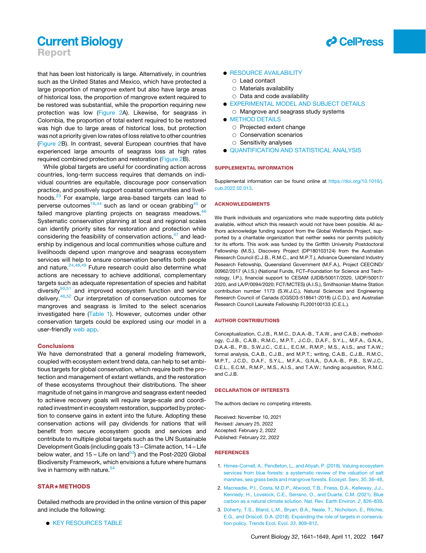Report

that has been lost historically is large. Alternatively, in countries such as the United States and Mexico, which have protected a large proportion of mangrove extent but also have large areas of historical loss, the proportion of mangrove extent required to be restored was substantial, while the proportion requiring new protection was low [\(Figure 2](#page-6-0)A). Likewise, for seagrass in Colombia, the proportion of total extent required to be restored was high due to large areas of historical loss, but protection was not a priority given low rates of loss relative to other countries [\(Figure 2B](#page-6-0)). In contrast, several European countries that have experienced large amounts of seagrass loss at high rates required combined protection and restoration ([Figure 2](#page-6-0)B).

<span id="page-7-3"></span>While global targets are useful for coordinating action across countries, long-term success requires that demands on individual countries are equitable, discourage poor conservation practice, and positively support coastal communities and liveli-hoods.<sup>[23](#page-8-15)</sup> For example, large area-based targets can lead to perverse outcomes<sup>[16](#page-8-10),[44](#page-9-1)</sup> such as land or ocean grabbing<sup>[45](#page-9-2)</sup> or failed mangrove planting projects on seagrass meadows. $46$ Systematic conservation planning at local and regional scales can identify priority sites for restoration and protection while considering the feasibility of conservation actions, <sup>[47](#page-9-4)</sup> and leadership by indigenous and local communities whose culture and livelihoods depend upon mangrove and seagrass ecosystem services will help to ensure conservation benefits both people and nature.<sup>[24](#page-8-16)[,48](#page-9-5)[,49](#page-9-6)</sup> Future research could also determine what actions are necessary to achieve additional, complementary targets such as adequate representation of species and habitat diversity $50,51$  $50,51$  $50,51$  and improved ecosystem function and service delivery.[46](#page-9-3)[,52](#page-9-9) Our interpretation of conservation outcomes for mangroves and seagrass is limited to the select scenarios investigated here [\(Table 1\)](#page-4-0). However, outcomes under other conservation targets could be explored using our model in a user-friendly [web app](https://github.com/cabuelow/target-setting-app).

#### Conclusions

We have demonstrated that a general modeling framework, coupled with ecosystem extent trend data, can help to set ambitious targets for global conservation, which require both the protection and management of extant wetlands, and the restoration of these ecosystems throughout their distributions. The sheer magnitude of net gains in mangrove and seagrass extent needed to achieve recovery goals will require large-scale and coordinated investment in ecosystem restoration, supported by protection to conserve gains in extent into the future. Adopting these conservation actions will pay dividends for nations that will benefit from secure ecosystem goods and services and contribute to multiple global targets such as the UN Sustainable Development Goals (including goals 13 – Climate action, 14 – Life below water, and  $15 -$  Life on land<sup>[53](#page-9-10)</sup>) and the Post-2020 Global Biodiversity Framework, which envisions a future where humans live in harmony with nature. $54$ 

#### **STAR**★METHODS

Detailed methods are provided in the online version of this paper and include the following:

**EXEY RESOURCES TABLE** 



#### **• [RESOURCE AVAILABILITY](#page-10-2)**

- $\circ$  Lead contact
- $\circ$  Materials availability
- $\circ$  Data and code availability
- **.** [EXPERIMENTAL MODEL AND SUBJECT DETAILS](#page-10-3)
	- $\circ$  Mangrove and seagrass study systems
- **O** [METHOD DETAILS](#page-11-0)
	- $\circ$  Projected extent change
	- $\circ$  Conservation scenarios
	- $\circ$  Sensitivity analyses
- **.** [QUANTIFICATION AND STATISTICAL ANALYSIS](#page-12-0)

#### SUPPLEMENTAL INFORMATION

Supplemental information can be found online at [https://doi.org/10.1016/j.](https://doi.org/10.1016/j.cub.2022.02.013) [cub.2022.02.013.](https://doi.org/10.1016/j.cub.2022.02.013)

#### ACKNOWLEDGMENTS

We thank individuals and organizations who made supporting data publicly available, without which this research would not have been possible. All authors acknowledge funding support from the Global Wetlands Project, supported by a charitable organization that neither seeks nor permits publicity for its efforts. This work was funded by the Griffith University Postdoctoral Fellowship (M.S.), Discovery Project (DP180103124) from the Australian Research Council (C.J.B., R.M.C., and M.P.T.), Advance Queensland Industry Research Fellowship, Queensland Government (M.F.A.), Project CEECIND/ 00962/2017 (A.I.S.) (National Funds, FCT–Foundation for Science and Technology, I.P.), financial support to CESAM (UIDB/50017/2020, UIDP/50017/ 2020, and LA/P/0094/2020; FCT/MCTES) (A.I.S.), Smithsonian Marine Station contribution number 1173 (S.W.J.C.), Natural Sciences and Engineering Research Council of Canada (CGSD3-518641-2018) (J.C.D.), and Australian Research Council Laureate Fellowship FL200100133 (C.E.L.).

#### AUTHOR CONTRIBUTIONS

Conceptualization, C.J.B., R.M.C., D.A.A.-B., T.A.W., and C.A.B.; methodology, C.J.B., C.A.B., R.M.C., M.P.T., J.C.D., D.A.F., S.Y.L., M.F.A., G.N.A., D.A.A.-B., P.B., S.W.J.C., C.E.L., E.C.M., R.M.P., M.S., A.I.S., and T.A.W.; formal analysis, C.A.B., C.J.B., and M.P.T.; writing, C.A.B., C.J.B., R.M.C., M.P.T., J.C.D., D.A.F., S.Y.L., M.F.A., G.N.A., D.A.A.-B., P.B., S.W.J.C., C.E.L., E.C.M., R.M.P., M.S., A.I.S., and T.A.W.; funding acquisition, R.M.C. and C.J.B.

#### DECLARATION OF INTERESTS

The authors declare no competing interests.

Received: November 10, 2021 Revised: January 25, 2022 Accepted: February 2, 2022 Published: February 22, 2022

#### <span id="page-7-0"></span>REFERENCES

- <span id="page-7-1"></span>1. [Himes-Cornell, A., Pendleton, L., and Atiyah, P. \(2018\). Valuing ecosystem](http://refhub.elsevier.com/S0960-9822(22)00235-4/sref1) [services from blue forests: a systematic review of the valuation of salt](http://refhub.elsevier.com/S0960-9822(22)00235-4/sref1) [marshes, sea grass beds and mangrove forests. Ecosyst. Serv.](http://refhub.elsevier.com/S0960-9822(22)00235-4/sref1) *30*, 36–48.
- <span id="page-7-2"></span>2. [Macreadie, P.I., Costa, M.D.P., Atwood, T.B., Friess, D.A., Kelleway, J.J.,](http://refhub.elsevier.com/S0960-9822(22)00235-4/sref2) [Kennedy, H., Lovelock, C.E., Serrano, O., and Duarte, C.M. \(2021\). Blue](http://refhub.elsevier.com/S0960-9822(22)00235-4/sref2) [carbon as a natural climate solution. Nat. Rev. Earth Environ.](http://refhub.elsevier.com/S0960-9822(22)00235-4/sref2) *2*, 826–839.
- 3. [Doherty, T.S., Bland, L.M., Bryan, B.A., Neale, T., Nicholson, E., Ritchie,](http://refhub.elsevier.com/S0960-9822(22)00235-4/sref3) [E.G., and Driscoll, D.A. \(2018\). Expanding the role of targets in conserva](http://refhub.elsevier.com/S0960-9822(22)00235-4/sref3)[tion policy. Trends Ecol. Evol.](http://refhub.elsevier.com/S0960-9822(22)00235-4/sref3) *33*, 809–812.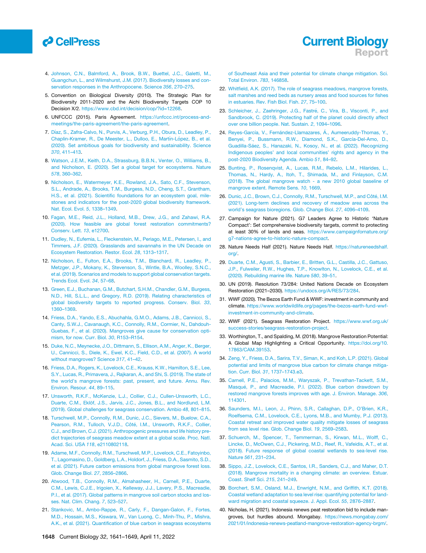# *d* CellPress

- <span id="page-8-0"></span>4. [Johnson, C.N., Balmford, A., Brook, B.W., Buettel, J.C., Galetti, M.,](http://refhub.elsevier.com/S0960-9822(22)00235-4/sref4) [Guangchun, L., and Wilmshurst, J.M. \(2017\). Biodiversity losses and con](http://refhub.elsevier.com/S0960-9822(22)00235-4/sref4)[servation responses in the Anthropocene. Science](http://refhub.elsevier.com/S0960-9822(22)00235-4/sref4) *356*, 270–275.
- <span id="page-8-1"></span>5. Convention on Biological Diversity (2010). The Strategic Plan for Biodiversity 2011-2020 and the Aichi Biodiversity Targets COP 10 Decision X/2. [https://www.cbd.int/decision/cop/?id=12268.](https://www.cbd.int/decision/cop/?id=12268)
- <span id="page-8-2"></span>6. UNFCCC (2015). Paris Agreement. [https://unfccc.int/process-and](https://unfccc.int/process-and-meetings/the-paris-agreement/the-paris-agreement)[meetings/the-paris-agreement/the-paris-agreement](https://unfccc.int/process-and-meetings/the-paris-agreement/the-paris-agreement).
- <span id="page-8-3"></span>7. Díaz, S., Zafra-Calvo, N., Purvis, A., Verburg, P.H., Obura, D., Leadley, P., Chaplin-Kramer, R., De Meester, L., Dulloo, E., Martín-López, B., et al. [\(2020\). Set ambitious goals for biodiversity and sustainability. Science](http://refhub.elsevier.com/S0960-9822(22)00235-4/sref7) *370*[, 411–413.](http://refhub.elsevier.com/S0960-9822(22)00235-4/sref7)
- 8. [Watson, J.E.M., Keith, D.A., Strassburg, B.B.N., Venter, O., Williams, B.,](http://refhub.elsevier.com/S0960-9822(22)00235-4/sref8) [and Nicholson, E. \(2020\). Set a global target for ecosystems. Nature](http://refhub.elsevier.com/S0960-9822(22)00235-4/sref8) *578*[, 360–362.](http://refhub.elsevier.com/S0960-9822(22)00235-4/sref8)
- 9. [Nicholson, E., Watermeyer, K.E., Rowland, J.A., Sato, C.F., Stevenson,](http://refhub.elsevier.com/S0960-9822(22)00235-4/sref9) [S.L., Andrade, A., Brooks, T.M., Burgess, N.D., Cheng, S.T., Grantham,](http://refhub.elsevier.com/S0960-9822(22)00235-4/sref9) [H.S., et al. \(2021\). Scientific foundations for an ecosystem goal, mile](http://refhub.elsevier.com/S0960-9822(22)00235-4/sref9)[stones and indicators for the post-2020 global biodiversity framework.](http://refhub.elsevier.com/S0960-9822(22)00235-4/sref9) [Nat. Ecol. Evol.](http://refhub.elsevier.com/S0960-9822(22)00235-4/sref9) *5*, 1338–1349.
- <span id="page-8-4"></span>10. [Fagan, M.E., Reid, J.L., Holland, M.B., Drew, J.G., and Zahawi, R.A.](http://refhub.elsevier.com/S0960-9822(22)00235-4/sref10) [\(2020\). How feasible are global forest restoration commitments?](http://refhub.elsevier.com/S0960-9822(22)00235-4/sref10) [Conserv. Lett.](http://refhub.elsevier.com/S0960-9822(22)00235-4/sref10) *13*, e12700.
- <span id="page-8-5"></span>11. [Dudley, N., Eufemia, L., Fleckenstein, M., Periago, M.E., Petersen, I., and](http://refhub.elsevier.com/S0960-9822(22)00235-4/sref11) [Timmers, J.F. \(2020\). Grasslands and savannahs in the UN Decade on](http://refhub.elsevier.com/S0960-9822(22)00235-4/sref11) [Ecosystem Restoration. Restor. Ecol.](http://refhub.elsevier.com/S0960-9822(22)00235-4/sref11) *28*, 1313–1317.
- <span id="page-8-6"></span>12. [Nicholson, E., Fulton, E.A., Brooks, T.M., Blanchard, R., Leadley, P.,](http://refhub.elsevier.com/S0960-9822(22)00235-4/sref12) [Metzger, J.P., Mokany, K., Stevenson, S., Wintle, B.A., Woolley, S.N.C.,](http://refhub.elsevier.com/S0960-9822(22)00235-4/sref12) [et al. \(2019\). Scenarios and models to support global conservation targets.](http://refhub.elsevier.com/S0960-9822(22)00235-4/sref12) [Trends Ecol. Evol.](http://refhub.elsevier.com/S0960-9822(22)00235-4/sref12) *34*, 57–68.
- <span id="page-8-7"></span>13. [Green, E.J., Buchanan, G.M., Butchart, S.H.M., Chandler, G.M., Burgess,](http://refhub.elsevier.com/S0960-9822(22)00235-4/sref13) [N.D., Hill, S.L.L., and Gregory, R.D. \(2019\). Relating characteristics of](http://refhub.elsevier.com/S0960-9822(22)00235-4/sref13) [global biodiversity targets to reported progress. Conserv. Biol.](http://refhub.elsevier.com/S0960-9822(22)00235-4/sref13) *33*, [1360–1369.](http://refhub.elsevier.com/S0960-9822(22)00235-4/sref13)
- <span id="page-8-8"></span>14. [Friess, D.A., Yando, E.S., Abuchahla, G.M.O., Adams, J.B., Cannicci, S.,](http://refhub.elsevier.com/S0960-9822(22)00235-4/sref14) [Canty, S.W.J., Cavanaugh, K.C., Connolly, R.M., Cormier, N., Dahdouh-](http://refhub.elsevier.com/S0960-9822(22)00235-4/sref14)[Guebas, F., et al. \(2020\). Mangroves give cause for conservation opti](http://refhub.elsevier.com/S0960-9822(22)00235-4/sref14)[mism, for now. Curr. Biol.](http://refhub.elsevier.com/S0960-9822(22)00235-4/sref14) *30*, R153–R154.
- <span id="page-8-9"></span>15. [Duke, N.C., Meynecke, J.O., Dittmann, S., Ellison, A.M., Anger, K., Berger,](http://refhub.elsevier.com/S0960-9822(22)00235-4/sref15) [U., Cannicci, S., Diele, K., Ewel, K.C., Field, C.D., et al. \(2007\). A world](http://refhub.elsevier.com/S0960-9822(22)00235-4/sref15) [without mangroves? Science](http://refhub.elsevier.com/S0960-9822(22)00235-4/sref15) *317*, 41–42.
- <span id="page-8-10"></span>16. [Friess, D.A., Rogers, K., Lovelock, C.E., Krauss, K.W., Hamilton, S.E., Lee,](http://refhub.elsevier.com/S0960-9822(22)00235-4/sref16) [S.Y., Lucas, R., Primavera, J., Rajkaran, A., and Shi, S. \(2019\). The state of](http://refhub.elsevier.com/S0960-9822(22)00235-4/sref16) [the world's mangrove forests: past, present, and future. Annu. Rev.](http://refhub.elsevier.com/S0960-9822(22)00235-4/sref16) [Environ. Resour.](http://refhub.elsevier.com/S0960-9822(22)00235-4/sref16) *44*, 89–115.
- <span id="page-8-11"></span>17. [Unsworth, R.K.F., McKenzie, L.J., Collier, C.J., Cullen-Unsworth, L.C.,](http://refhub.elsevier.com/S0960-9822(22)00235-4/sref17) Duarte, C.M., Eklö[f, J.S., Jarvis, J.C., Jones, B.L., and Nordlund, L.M.](http://refhub.elsevier.com/S0960-9822(22)00235-4/sref17) [\(2019\). Global challenges for seagrass conservation. Ambio](http://refhub.elsevier.com/S0960-9822(22)00235-4/sref17) *48*, 801–815.
- <span id="page-8-12"></span>18. [Turschwell, M.P., Connolly, R.M., Dunic, J.C., Sievers, M., Buelow, C.A.,](http://refhub.elsevier.com/S0960-9822(22)00235-4/sref18) Pearson, R.M., Tulloch, V.J.D., Côté[, I.M., Unsworth, R.K.F., Collier,](http://refhub.elsevier.com/S0960-9822(22)00235-4/sref18) [C.J., and Brown, C.J. \(2021\). Anthropogenic pressures and life history pre](http://refhub.elsevier.com/S0960-9822(22)00235-4/sref18)[dict trajectories of seagrass meadow extent at a global scale. Proc. Natl.](http://refhub.elsevier.com/S0960-9822(22)00235-4/sref18) [Acad. Sci. USA](http://refhub.elsevier.com/S0960-9822(22)00235-4/sref18) *118*, e2110802118.
- <span id="page-8-13"></span>19. [Adame, M.F., Connolly, R.M., Turschwell, M.P., Lovelock, C.E., Fatoyinbo,](http://refhub.elsevier.com/S0960-9822(22)00235-4/sref19) [T., Lagomasino, D., Goldberg, L.A., Holdorf, J., Friess, D.A., Sasmito, S.D.,](http://refhub.elsevier.com/S0960-9822(22)00235-4/sref19) [et al. \(2021\). Future carbon emissions from global mangrove forest loss.](http://refhub.elsevier.com/S0960-9822(22)00235-4/sref19) [Glob. Change Biol.](http://refhub.elsevier.com/S0960-9822(22)00235-4/sref19) *27*, 2856–2866.
- 20. [Atwood, T.B., Connolly, R.M., Almahasheer, H., Carnell, P.E., Duarte,](http://refhub.elsevier.com/S0960-9822(22)00235-4/sref20) [C.M., Lewis, C.J.E., Irigoien, X., Kelleway, J.J., Lavery, P.S., Macreadie,](http://refhub.elsevier.com/S0960-9822(22)00235-4/sref20) [P.I., et al. \(2017\). Global patterns in mangrove soil carbon stocks and los](http://refhub.elsevier.com/S0960-9822(22)00235-4/sref20)[ses. Nat. Clim. Chang.](http://refhub.elsevier.com/S0960-9822(22)00235-4/sref20) *7*, 523–527.
- 21. [Stankovic, M., Ambo-Rappe, R., Carly, F., Dangan-Galon, F., Fortes,](http://refhub.elsevier.com/S0960-9822(22)00235-4/sref21) [M.D., Hossain, M.S., Kiswara, W., Van Luong, C., Minh-Thu, P., Mishra,](http://refhub.elsevier.com/S0960-9822(22)00235-4/sref21) [A.K., et al. \(2021\). Quantification of blue carbon in seagrass ecosystems](http://refhub.elsevier.com/S0960-9822(22)00235-4/sref21)

[of Southeast Asia and their potential for climate change mitigation. Sci.](http://refhub.elsevier.com/S0960-9822(22)00235-4/sref21) [Total Environ.](http://refhub.elsevier.com/S0960-9822(22)00235-4/sref21) *783*, 146858.

- <span id="page-8-14"></span>22. [Whitfield, A.K. \(2017\). The role of seagrass meadows, mangrove forests,](http://refhub.elsevier.com/S0960-9822(22)00235-4/sref22) [salt marshes and reed beds as nursery areas and food sources for fishes](http://refhub.elsevier.com/S0960-9822(22)00235-4/sref22) [in estuaries. Rev. Fish Biol. Fish.](http://refhub.elsevier.com/S0960-9822(22)00235-4/sref22) *27*, 75–100.
- <span id="page-8-15"></span>23. Schleicher, J., Zaehringer, J.G., Fastré, C., Vira, B., Visconti, P., and [Sandbrook, C. \(2019\). Protecting half of the planet could directly affect](http://refhub.elsevier.com/S0960-9822(22)00235-4/sref25) [over one billion people. Nat. Sustain.](http://refhub.elsevier.com/S0960-9822(22)00235-4/sref25) *2*, 1094–1096.
- <span id="page-8-16"></span>24. Reyes-García, V., Fernández-Llamazares, Á[., Aumeeruddy-Thomas, Y.,](http://refhub.elsevier.com/S0960-9822(22)00235-4/sref26) Benyei, P., Bussmann, R.W., Diamond, S.K., García-Del-Amo, D., Guadilla-Sá[ez, S., Hanazaki, N., Kosoy, N., et al. \(2022\). Recognizing](http://refhub.elsevier.com/S0960-9822(22)00235-4/sref26) [Indigenous peoples' and local communities' rights and agency in the](http://refhub.elsevier.com/S0960-9822(22)00235-4/sref26) [post-2020 Biodiversity Agenda. Ambio](http://refhub.elsevier.com/S0960-9822(22)00235-4/sref26) *51*, 84–92.
- <span id="page-8-27"></span>25. [Bunting, P., Rosenqvist, A., Lucas, R.M., Rebelo, L.M., Hilarides, L.,](http://refhub.elsevier.com/S0960-9822(22)00235-4/sref23) [Thomas, N., Hardy, A., Itoh, T., Shimada, M., and Finlayson, C.M.](http://refhub.elsevier.com/S0960-9822(22)00235-4/sref23) [\(2018\). The global mangrove watch - a new 2010 global baseline of](http://refhub.elsevier.com/S0960-9822(22)00235-4/sref23) [mangrove extent. Remote Sens.](http://refhub.elsevier.com/S0960-9822(22)00235-4/sref23) *10*, 1669.
- <span id="page-8-28"></span>26. Dunic, J.C., Brown, C.J., Connolly, R.M., Turschwell, M.P., and Côté, I.M. [\(2021\). Long-term declines and recovery of meadow area across the](http://refhub.elsevier.com/S0960-9822(22)00235-4/sref24) [world's seagrass bioregions. Glob. Change Biol.](http://refhub.elsevier.com/S0960-9822(22)00235-4/sref24) *27*, 4096–4109.
- <span id="page-8-31"></span><span id="page-8-30"></span><span id="page-8-29"></span>27. Campaign for Nature (2021). G7 Leaders Agree to Historic 'Nature Compact': Set comprehensive biodiversity targets, commit to protecting at least 30% of lands and seas. [https://www.campaignfornature.org/](https://www.campaignfornature.org/g7-nations-agree-to-historic-nature-compact) [g7-nations-agree-to-historic-nature-compact](https://www.campaignfornature.org/g7-nations-agree-to-historic-nature-compact).
- 28. Nature Needs Half (2021). Nature Needs Half. [https://natureneedshalf.](https://natureneedshalf.org/) [org/](https://natureneedshalf.org/).
- <span id="page-8-33"></span>29. [Duarte, C.M., Agusti, S., Barbier, E., Britten, G.L., Castilla, J.C., Gattuso,](http://refhub.elsevier.com/S0960-9822(22)00235-4/sref39) [J.P., Fulweiler, R.W., Hughes, T.P., Knowlton, N., Lovelock, C.E., et al.](http://refhub.elsevier.com/S0960-9822(22)00235-4/sref39) [\(2020\). Rebuilding marine life. Nature](http://refhub.elsevier.com/S0960-9822(22)00235-4/sref39) *580*, 39–51.
- <span id="page-8-17"></span>30. UN (2019). Resolution 73/284: United Nations Decade on Ecosystem Restoration (2021–2030). [https://undocs.org/A/RES/73/284.](https://undocs.org/A/RES/73/284)
- <span id="page-8-18"></span>31. WWF (2020). The Bezos Earth Fund & WWF: investment in community and climate. [https://www.worldwildlife.org/pages/the-bezos-earth-fund-wwf](https://www.worldwildlife.org/pages/the-bezos-earth-fund-wwf-investment-in-community-and-climate)[investment-in-community-and-climate.](https://www.worldwildlife.org/pages/the-bezos-earth-fund-wwf-investment-in-community-and-climate)
- <span id="page-8-19"></span>32. WWF (2021). Seagrass Restoration Project. [https://www.wwf.org.uk/](https://www.wwf.org.uk/success-stories/seagrass-restoration-project) [success-stories/seagrass-restoration-project.](https://www.wwf.org.uk/success-stories/seagrass-restoration-project)
- <span id="page-8-20"></span>33. Worthington, T., and Spalding, M. (2018). Mangrove Restoration Potential: A Global Map Highlighting a Critical Opportunity. [https://doi.org/10.](https://doi.org/10.17863/CAM.39153) [17863/CAM.39153.](https://doi.org/10.17863/CAM.39153)
- <span id="page-8-21"></span>34. [Zeng, Y., Friess, D.A., Sarira, T.V., Siman, K., and Koh, L.P. \(2021\). Global](http://refhub.elsevier.com/S0960-9822(22)00235-4/sref31) [potential and limits of mangrove blue carbon for climate change mitiga](http://refhub.elsevier.com/S0960-9822(22)00235-4/sref31)tion. Curr. Biol. *31*[, 1737–1743.e3.](http://refhub.elsevier.com/S0960-9822(22)00235-4/sref31)
- <span id="page-8-22"></span>35. [Carnell, P.E., Palacios, M.M., Waryszak, P., Trevathan-Tackett, S.M.,](http://refhub.elsevier.com/S0960-9822(22)00235-4/sref32) [Masque, P., and Macreadie, P.I. \(2022\). Blue carbon drawdown by](http://refhub.elsevier.com/S0960-9822(22)00235-4/sref32) [restored mangrove forests improves with age. J. Environ. Manage.](http://refhub.elsevier.com/S0960-9822(22)00235-4/sref32) *306*, [114301.](http://refhub.elsevier.com/S0960-9822(22)00235-4/sref32)
- <span id="page-8-23"></span>36. [Saunders, M.I., Leon, J., Phinn, S.R., Callaghan, D.P., O'Brien, K.R.,](http://refhub.elsevier.com/S0960-9822(22)00235-4/sref33) [Roelfsema, C.M., Lovelock, C.E., Lyons, M.B., and Mumby, P.J. \(2013\).](http://refhub.elsevier.com/S0960-9822(22)00235-4/sref33) [Coastal retreat and improved water quality mitigate losses of seagrass](http://refhub.elsevier.com/S0960-9822(22)00235-4/sref33) [from sea level rise. Glob. Change Biol.](http://refhub.elsevier.com/S0960-9822(22)00235-4/sref33) *19*, 2569–2583.
- <span id="page-8-24"></span>37. [Schuerch, M., Spencer, T., Temmerman, S., Kirwan, M.L., Wolff, C.,](http://refhub.elsevier.com/S0960-9822(22)00235-4/sref34) [Lincke, D., McOwen, C.J., Pickering, M.D., Reef, R., Vafeidis, A.T., et al.](http://refhub.elsevier.com/S0960-9822(22)00235-4/sref34) [\(2018\). Future response of global coastal wetlands to sea-level rise.](http://refhub.elsevier.com/S0960-9822(22)00235-4/sref34) Nature *561*[, 231–234.](http://refhub.elsevier.com/S0960-9822(22)00235-4/sref34)
- <span id="page-8-25"></span>38. [Sippo, J.Z., Lovelock, C.E., Santos, I.R., Sanders, C.J., and Maher, D.T.](http://refhub.elsevier.com/S0960-9822(22)00235-4/sref35) [\(2018\). Mangrove mortality in a changing climate: an overview. Estuar.](http://refhub.elsevier.com/S0960-9822(22)00235-4/sref35) [Coast. Shelf Sci.](http://refhub.elsevier.com/S0960-9822(22)00235-4/sref35) *215*, 241–249.
- <span id="page-8-26"></span>39. [Borchert, S.M., Osland, M.J., Enwright, N.M., and Griffith, K.T. \(2018\).](http://refhub.elsevier.com/S0960-9822(22)00235-4/sref36) [Coastal wetland adaptation to sea level rise: quantifying potential for land](http://refhub.elsevier.com/S0960-9822(22)00235-4/sref36)[ward migration and coastal squeeze. J. Appl. Ecol.](http://refhub.elsevier.com/S0960-9822(22)00235-4/sref36) *55*, 2876–2887.
- <span id="page-8-32"></span>40. Nicholas, H. (2021). Indonesia renews peat restoration bid to include mangroves, but hurdles abound. Mongabay. [https://news.mongabay.com/](https://news.mongabay.com/2021/01/indonesia-renews-peatland-mangrove-restoration-agency-brgm/) [2021/01/indonesia-renews-peatland-mangrove-restoration-agency-brgm/](https://news.mongabay.com/2021/01/indonesia-renews-peatland-mangrove-restoration-agency-brgm/).

### **Current Biology** Report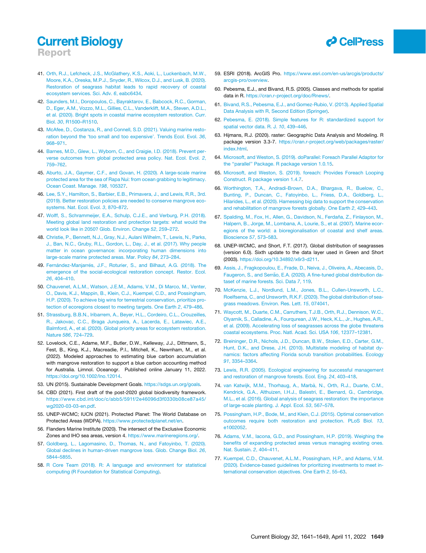Report

- <span id="page-9-0"></span>41. [Orth, R.J., Lefcheck, J.S., McGlathery, K.S., Aoki, L., Luckenbach, M.W.,](http://refhub.elsevier.com/S0960-9822(22)00235-4/sref38) [Moore, K.A., Oreska, M.P.J., Snyder, R., Wilcox, D.J., and Lusk, B. \(2020\).](http://refhub.elsevier.com/S0960-9822(22)00235-4/sref38) [Restoration of seagrass habitat leads to rapid recovery of coastal](http://refhub.elsevier.com/S0960-9822(22)00235-4/sref38) [ecosystem services. Sci. Adv.](http://refhub.elsevier.com/S0960-9822(22)00235-4/sref38) *6*, eabc6434.
- 42. [Saunders, M.I., Doropoulos, C., Bayraktarov, E., Babcock, R.C., Gorman,](http://refhub.elsevier.com/S0960-9822(22)00235-4/sref40) [D., Eger, A.M., Vozzo, M.L., Gillies, C.L., Vanderklift, M.A., Steven, A.D.L.,](http://refhub.elsevier.com/S0960-9822(22)00235-4/sref40) [et al. \(2020\). Bright spots in coastal marine ecosystem restoration. Curr.](http://refhub.elsevier.com/S0960-9822(22)00235-4/sref40) Biol. *30*[, R1500–R1510](http://refhub.elsevier.com/S0960-9822(22)00235-4/sref40).
- 43. [McAfee, D., Costanza, R., and Connell, S.D. \(2021\). Valuing marine resto](http://refhub.elsevier.com/S0960-9822(22)00235-4/sref41)[ration beyond the 'too small and too expensive'. Trends Ecol. Evol.](http://refhub.elsevier.com/S0960-9822(22)00235-4/sref41) *36*, [968–971](http://refhub.elsevier.com/S0960-9822(22)00235-4/sref41).
- <span id="page-9-1"></span>44. [Barnes, M.D., Glew, L., Wyborn, C., and Craigie, I.D. \(2018\). Prevent per](http://refhub.elsevier.com/S0960-9822(22)00235-4/sref42)[verse outcomes from global protected area policy. Nat. Ecol. Evol.](http://refhub.elsevier.com/S0960-9822(22)00235-4/sref42) *2*, [759–762](http://refhub.elsevier.com/S0960-9822(22)00235-4/sref42).
- <span id="page-9-2"></span>45. [Aburto, J.A., Gaymer, C.F., and Govan, H. \(2020\). A large-scale marine](http://refhub.elsevier.com/S0960-9822(22)00235-4/sref43) [protected area for the sea of Rapa Nui: from ocean grabbing to legitimacy.](http://refhub.elsevier.com/S0960-9822(22)00235-4/sref43) [Ocean Coast. Manage.](http://refhub.elsevier.com/S0960-9822(22)00235-4/sref43) *198*, 105327.
- <span id="page-9-3"></span>46. [Lee, S.Y., Hamilton, S., Barbier, E.B., Primavera, J., and Lewis, R.R., 3rd.](http://refhub.elsevier.com/S0960-9822(22)00235-4/sref44) [\(2019\). Better restoration policies are needed to conserve mangrove eco](http://refhub.elsevier.com/S0960-9822(22)00235-4/sref44)[systems. Nat. Ecol. Evol.](http://refhub.elsevier.com/S0960-9822(22)00235-4/sref44) *3*, 870–872.
- <span id="page-9-4"></span>47. [Wolff, S., Schrammeijer, E.A., Schulp, C.J.E., and Verburg, P.H. \(2018\).](http://refhub.elsevier.com/S0960-9822(22)00235-4/sref45) [Meeting global land restoration and protection targets: what would the](http://refhub.elsevier.com/S0960-9822(22)00235-4/sref45) [world look like in 2050? Glob. Environ. Change](http://refhub.elsevier.com/S0960-9822(22)00235-4/sref45) *52*, 259–272.
- <span id="page-9-5"></span>48. [Christie, P., Bennett, N.J., Gray, N.J., Aulani Wilhelm, T., Lewis, N., Parks,](http://refhub.elsevier.com/S0960-9822(22)00235-4/sref46) [J., Ban, N.C., Gruby, R.L., Gordon, L., Day, J., et al. \(2017\). Why people](http://refhub.elsevier.com/S0960-9822(22)00235-4/sref46) [matter in ocean governance: incorporating human dimensions into](http://refhub.elsevier.com/S0960-9822(22)00235-4/sref46) [large-scale marine protected areas. Mar. Policy](http://refhub.elsevier.com/S0960-9822(22)00235-4/sref46) *84*, 273–284.
- <span id="page-9-6"></span>49. Ferná[ndez-Manjarr](http://refhub.elsevier.com/S0960-9822(22)00235-4/sref47)é[s, J.F., Roturier, S., and Bilhaut, A.G. \(2018\). The](http://refhub.elsevier.com/S0960-9822(22)00235-4/sref47) [emergence of the social-ecological restoration concept. Restor. Ecol.](http://refhub.elsevier.com/S0960-9822(22)00235-4/sref47) *26*[, 404–410](http://refhub.elsevier.com/S0960-9822(22)00235-4/sref47).
- <span id="page-9-7"></span>50. [Chauvenet, A.L.M., Watson, J.E.M., Adams, V.M., Di Marco, M., Venter,](http://refhub.elsevier.com/S0960-9822(22)00235-4/sref48) [O., Davis, K.J., Mappin, B., Klein, C.J., Kuempel, C.D., and Possingham,](http://refhub.elsevier.com/S0960-9822(22)00235-4/sref48) [H.P. \(2020\). To achieve big wins for terrestrial conservation, prioritize pro](http://refhub.elsevier.com/S0960-9822(22)00235-4/sref48)[tection of ecoregions closest to meeting targets. One Earth](http://refhub.elsevier.com/S0960-9822(22)00235-4/sref48) *2*, 479–486.
- <span id="page-9-8"></span>51. [Strassburg, B.B.N., Iribarrem, A., Beyer, H.L., Cordeiro, C.L., Crouzeilles,](http://refhub.elsevier.com/S0960-9822(22)00235-4/sref49) [R., Jakovac, C.C., Braga Junqueira, A., Lacerda, E., Latawiec, A.E.,](http://refhub.elsevier.com/S0960-9822(22)00235-4/sref49) [Balmford, A., et al. \(2020\). Global priority areas for ecosystem restoration.](http://refhub.elsevier.com/S0960-9822(22)00235-4/sref49) Nature *586*[, 724–729.](http://refhub.elsevier.com/S0960-9822(22)00235-4/sref49)
- <span id="page-9-9"></span>52. Lovelock, C.E., Adame, M.F., Butler, D.W., Kelleway, J.J., Dittmann, S., Fest, B., King, K.J., Macreadie, P.I., Mitchell, K., Newnham, M., et al. (2022). Modeled approaches to estimating blue carbon accumulation with mangrove restoration to support a blue carbon accounting method for Australia. Limnol. Oceanogr. Published online January 11, 2022. [https://doi.org/10.1002/lno.12014.](https://doi.org/10.1002/lno.12014)
- <span id="page-9-10"></span>53. UN (2015). Sustainable Development Goals. <https://sdgs.un.org/goals>.
- <span id="page-9-11"></span>54. CBD (2021). First draft of the post-2020 global biodiversity framework. [https://www.cbd.int/doc/c/abb5/591f/2e46096d3f0330b08ce87a45/](https://www.cbd.int/doc/c/abb5/591f/2e46096d3f0330b08ce87a45/wg2020-03-03-en.pdf) [wg2020-03-03-en.pdf.](https://www.cbd.int/doc/c/abb5/591f/2e46096d3f0330b08ce87a45/wg2020-03-03-en.pdf)
- <span id="page-9-17"></span>55. UNEP-WCMC; IUCN (2021). Protected Planet: The World Database on Protected Areas (WDPA). <https://www.protectedplanet.net/en>.
- <span id="page-9-18"></span>56. Flanders Marine Institute (2020). The intersect of the Exclusive Economic Zones and IHO sea areas, version 4. [https://www.marineregions.org/.](https://www.marineregions.org/)
- <span id="page-9-13"></span>57. [Goldberg, L., Lagomasino, D., Thomas, N., and Fatoyinbo, T. \(2020\).](http://refhub.elsevier.com/S0960-9822(22)00235-4/sref57) [Global declines in human-driven mangrove loss. Glob. Change Biol.](http://refhub.elsevier.com/S0960-9822(22)00235-4/sref57) *26*, [5844–5855](http://refhub.elsevier.com/S0960-9822(22)00235-4/sref57).
- <span id="page-9-19"></span>58. [R Core Team \(2018\). R: A language and environment for statistical](http://refhub.elsevier.com/S0960-9822(22)00235-4/sref58) [computing \(R Foundation for Statistical Computing\).](http://refhub.elsevier.com/S0960-9822(22)00235-4/sref58)



- <span id="page-9-20"></span>59. ESRI (2018). ArcGIS Pro. [https://www.esri.com/en-us/arcgis/products/](https://www.esri.com/en-us/arcgis/products/arcgis-pro/overview) [arcgis-pro/overview.](https://www.esri.com/en-us/arcgis/products/arcgis-pro/overview)
- <span id="page-9-21"></span>60. Pebesma, E.J., and Bivand, R.S. (2005). Classes and methods for spatial data in R. <https://cran.r-project.org/doc/Rnews/>.
- <span id="page-9-22"></span>61. [Bivand, R.S., Pebesma, E.J., and Gomez-Rubio, V. \(2013\). Applied Spatial](http://refhub.elsevier.com/S0960-9822(22)00235-4/sref61) [Data Analysis with R, Second Edition \(Springer\)](http://refhub.elsevier.com/S0960-9822(22)00235-4/sref61).
- <span id="page-9-23"></span>62. [Pebesma, E. \(2018\). Simple features for R: standardized support for](http://refhub.elsevier.com/S0960-9822(22)00235-4/sref62) [spatial vector data. R. J.](http://refhub.elsevier.com/S0960-9822(22)00235-4/sref62) *10*, 439–446.
- <span id="page-9-24"></span>63. Hijmans, R.J. (2020). raster: Geographic Data Analysis and Modeling. R package version 3.3-7. [https://cran.r-project.org/web/packages/raster/](https://cran.r-project.org/web/packages/raster/index.html) [index.html](https://cran.r-project.org/web/packages/raster/index.html).
- <span id="page-9-25"></span>64. [Microsoft, and Weston, S. \(2019\). doParallel: Foreach Parallel Adaptor for](http://refhub.elsevier.com/S0960-9822(22)00235-4/sref64) [the ''parallel'' Package. R package version 1.0.15](http://refhub.elsevier.com/S0960-9822(22)00235-4/sref64).
- <span id="page-9-26"></span>65. [Microsoft, and Weston, S. \(2019\). foreach: Provides Foreach Looping](http://refhub.elsevier.com/S0960-9822(22)00235-4/sref65) [Construct. R package version 1.4.7](http://refhub.elsevier.com/S0960-9822(22)00235-4/sref65).
- <span id="page-9-12"></span>66. [Worthington, T.A., Andradi-Brown, D.A., Bhargava, R., Buelow, C.,](http://refhub.elsevier.com/S0960-9822(22)00235-4/sref66) [Bunting, P., Duncan, C., Fatoyinbo, L., Friess, D.A., Goldberg, L.,](http://refhub.elsevier.com/S0960-9822(22)00235-4/sref66) [Hilarides, L., et al. \(2020\). Harnessing big data to support the conservation](http://refhub.elsevier.com/S0960-9822(22)00235-4/sref66) [and rehabilitation of mangrove forests globally. One Earth](http://refhub.elsevier.com/S0960-9822(22)00235-4/sref66) *2*, 429–443.
- <span id="page-9-14"></span>67. Spalding, M., Fox, H., Allen, G., Davidson, N., Ferdaña, Z., Finlayson, M., [Halpern, B., Jorge, M., Lombana, A., Lourie, S., et al. \(2007\). Marine ecor](http://refhub.elsevier.com/S0960-9822(22)00235-4/sref67)[egions of the world: a bioregionalisation of coastal and shelf areas.](http://refhub.elsevier.com/S0960-9822(22)00235-4/sref67) [Bioscience](http://refhub.elsevier.com/S0960-9822(22)00235-4/sref67) *57*, 573–583.
- <span id="page-9-15"></span>68. UNEP-WCMC, and Short, F.T. (2017). Global distribution of seagrasses (version 6.0). Sixth update to the data layer used in Green and Short (2003). [https://doi.org/10.34892/x6r3-d211.](https://doi.org/10.34892/x6r3-d211)
- 69. [Assis, J., Fragkopoulou, E., Frade, D., Neiva, J., Oliveira, A., Abecasis, D.,](http://refhub.elsevier.com/S0960-9822(22)00235-4/sref69) Faugeron, S., and Serrã[o, E.A. \(2020\). A fine-tuned global distribution da](http://refhub.elsevier.com/S0960-9822(22)00235-4/sref69)[taset of marine forests. Sci. Data](http://refhub.elsevier.com/S0960-9822(22)00235-4/sref69) *7*, 119.
- 70. [McKenzie, L.J., Nordlund, L.M., Jones, B.L., Cullen-Unsworth, L.C.,](http://refhub.elsevier.com/S0960-9822(22)00235-4/sref70) [Roelfsema, C., and Unsworth, R.K.F. \(2020\). The global distribution of sea](http://refhub.elsevier.com/S0960-9822(22)00235-4/sref70)[grass meadows. Environ. Res. Lett.](http://refhub.elsevier.com/S0960-9822(22)00235-4/sref70) *15*, 074041.
- <span id="page-9-16"></span>71. [Waycott, M., Duarte, C.M., Carruthers, T.J.B., Orth, R.J., Dennison, W.C.,](http://refhub.elsevier.com/S0960-9822(22)00235-4/sref71) [Olyarnik, S., Calladine, A., Fourqurean, J.W., Heck, K.L., Jr., Hughes, A.R.,](http://refhub.elsevier.com/S0960-9822(22)00235-4/sref71) [et al. \(2009\). Accelerating loss of seagrasses across the globe threatens](http://refhub.elsevier.com/S0960-9822(22)00235-4/sref71) [coastal ecosystems. Proc. Natl. Acad. Sci. USA](http://refhub.elsevier.com/S0960-9822(22)00235-4/sref71) *106*, 12377–12381.
- <span id="page-9-27"></span>72. [Breininger, D.R., Nichols, J.D., Duncan, B.W., Stolen, E.D., Carter, G.M.,](http://refhub.elsevier.com/S0960-9822(22)00235-4/sref72) [Hunt, D.K., and Drese, J.H. \(2010\). Multistate modeling of habitat dy](http://refhub.elsevier.com/S0960-9822(22)00235-4/sref72)[namics: factors affecting Florida scrub transition probabilities. Ecology](http://refhub.elsevier.com/S0960-9822(22)00235-4/sref72) *91*[, 3354–3364.](http://refhub.elsevier.com/S0960-9822(22)00235-4/sref72)
- <span id="page-9-29"></span><span id="page-9-28"></span>73. [Lewis, R.R. \(2005\). Ecological engineering for successful management](http://refhub.elsevier.com/S0960-9822(22)00235-4/sref73) [and restoration of mangrove forests. Ecol. Eng.](http://refhub.elsevier.com/S0960-9822(22)00235-4/sref73) *24*, 403–418.
- 74. van Katwijk, M.M., Thorhaug, A., Marbà, N., Orth, R.J., Duarte, C.M., [Kendrick, G.A., Althuizen, I.H.J., Balestri, E., Bernard, G., Cambridge,](http://refhub.elsevier.com/S0960-9822(22)00235-4/sref74) [M.L., et al. \(2016\). Global analysis of seagrass restoration: the importance](http://refhub.elsevier.com/S0960-9822(22)00235-4/sref74) [of large-scale planting. J. Appl. Ecol.](http://refhub.elsevier.com/S0960-9822(22)00235-4/sref74) *53*, 567–578.
- <span id="page-9-31"></span><span id="page-9-30"></span>75. [Possingham, H.P., Bode, M., and Klein, C.J. \(2015\). Optimal conservation](http://refhub.elsevier.com/S0960-9822(22)00235-4/sref75) [outcomes require both restoration and protection. PLoS Biol.](http://refhub.elsevier.com/S0960-9822(22)00235-4/sref75) *13*, e1002052
- <span id="page-9-32"></span>76. [Adams, V.M., Iacona, G.D., and Possingham, H.P. \(2019\). Weighing the](http://refhub.elsevier.com/S0960-9822(22)00235-4/sref76) [benefits of expanding protected areas versus managing existing ones.](http://refhub.elsevier.com/S0960-9822(22)00235-4/sref76) [Nat. Sustain.](http://refhub.elsevier.com/S0960-9822(22)00235-4/sref76) *2*, 404–411.
- 77. [Kuempel, C.D., Chauvenet, A.L.M., Possingham, H.P., and Adams, V.M.](http://refhub.elsevier.com/S0960-9822(22)00235-4/sref77) [\(2020\). Evidence-based guidelines for prioritizing investments to meet in](http://refhub.elsevier.com/S0960-9822(22)00235-4/sref77)[ternational conservation objectives. One Earth](http://refhub.elsevier.com/S0960-9822(22)00235-4/sref77) *2*, 55–63.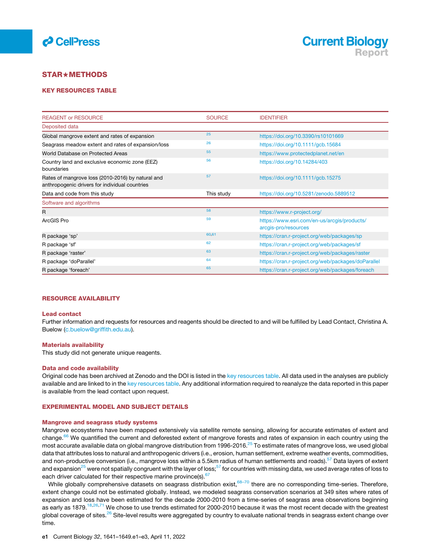



#### <span id="page-10-0"></span>**STAR★METHODS**

#### <span id="page-10-1"></span>KEY RESOURCES TABLE

| <b>REAGENT or RESOURCE</b>                                                                          | <b>SOURCE</b> | <b>IDENTIFIER</b>                                                   |
|-----------------------------------------------------------------------------------------------------|---------------|---------------------------------------------------------------------|
| Deposited data                                                                                      |               |                                                                     |
| Global mangrove extent and rates of expansion                                                       | 25            | https://doi.org/10.3390/rs10101669                                  |
| Seagrass meadow extent and rates of expansion/loss                                                  | 26            | https://doi.org/10.1111/gcb.15684                                   |
| World Database on Protected Areas                                                                   | 55            | https://www.protectedplanet.net/en                                  |
| Country land and exclusive economic zone (EEZ)<br>boundaries                                        | 56            | https://doi.org/10.14284/403                                        |
| Rates of mangrove loss (2010-2016) by natural and<br>anthropogenic drivers for individual countries | 57            | https://doi.org/10.1111/gcb.15275                                   |
| Data and code from this study                                                                       | This study    | https://doi.org/10.5281/zenodo.5889512                              |
| Software and algorithms                                                                             |               |                                                                     |
| R                                                                                                   | 58            | https://www.r-project.org/                                          |
| ArcGIS Pro                                                                                          | 59            | https://www.esri.com/en-us/arcgis/products/<br>arcgis-pro/resources |
| R package 'sp'                                                                                      | 60,61         | https://cran.r-project.org/web/packages/sp                          |
| R package 'sf'                                                                                      | 62            | https://cran.r-project.org/web/packages/sf                          |
| R package 'raster'                                                                                  | 63            | https://cran.r-project.org/web/packages/raster                      |
| R package 'doParallel'                                                                              | 64            | https://cran.r-project.org/web/packages/doParallel                  |
| R package 'foreach'                                                                                 | 65            | https://cran.r-project.org/web/packages/foreach                     |

#### RESOURCE AVAILABILITY

#### Lead contact

Further information and requests for resources and reagents should be directed to and will be fulfilled by Lead Contact, Christina A. Buelow ([c.buelow@griffith.edu.au\)](mailto:c.buelow@griffith.edu.au).

#### Materials availability

This study did not generate unique reagents.

#### <span id="page-10-2"></span>Data and code availability

Original code has been archived at Zenodo and the DOI is listed in the [key resources table.](#page-10-1) All data used in the analyses are publicly available and are linked to in the [key resources table.](#page-10-1) Any additional information required to reanalyze the data reported in this paper is available from the lead contact upon request.

#### <span id="page-10-3"></span>EXPERIMENTAL MODEL AND SUBJECT DETAILS

#### Mangrove and seagrass study systems

Mangrove ecosystems have been mapped extensively via satellite remote sensing, allowing for accurate estimates of extent and change.<sup>[66](#page-9-12)</sup> We quantified the current and deforested extent of mangrove forests and rates of expansion in each country using the most accurate available data on global mangrove distribution from 1996-2016.<sup>[25](#page-8-27)</sup> To estimate rates of mangrove loss, we used global data that attributes loss to natural and anthropogenic drivers (i.e., erosion, human settlement, extreme weather events, commodities, and non-productive conversion (i.e., mangrove loss within a 5.5km radius of human settlements and roads).<sup>[57](#page-9-13)</sup> Data layers of extent and expansion<sup>[25](#page-8-27)</sup> were not spatially congruent with the layer of loss; $^{57}$  for countries with missing data, we used average rates of loss to each driver calculated for their respective marine province(s). <sup>[67](#page-9-14)</sup>

While globally comprehensive datasets on seagrass distribution exist, 68-70 there are no corresponding time-series. Therefore, extent change could not be estimated globally. Instead, we modeled seagrass conservation scenarios at 349 sites where rates of expansion and loss have been estimated for the decade 2000-2010 from a time-series of seagrass area observations beginning as early as 1879.<sup>18[,26](#page-8-28),[71](#page-9-16)</sup> We chose to use trends estimated for 2000-2010 because it was the most recent decade with the greatest global coverage of sites.<sup>[26](#page-8-28)</sup> Site-level results were aggregated by country to evaluate national trends in seagrass extent change over time.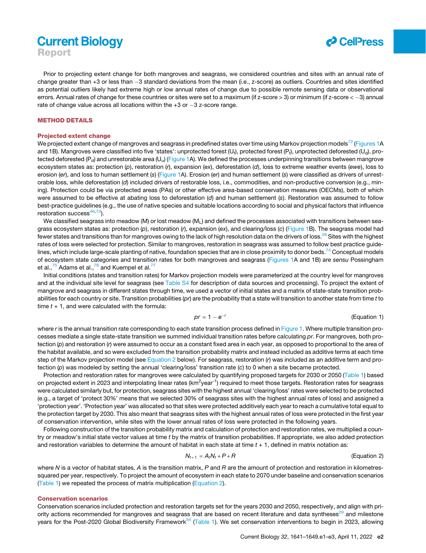# **Current Biology** Report



Prior to projecting extent change for both mangroves and seagrass, we considered countries and sites with an annual rate of change greater than +3 or less than -3 standard deviations from the mean (i.e., z-score) as outliers. Countries and sites identified as potential outliers likely had extreme high or low annual rates of change due to possible remote sensing data or observational errors. Annual rates of change for these countries or sites were set to a maximum (if z-score  $>$  3) or minimum (if z-score  $<-3$ ) annual rate of change value across all locations within the  $+3$  or  $-3$  z-score range.

#### <span id="page-11-0"></span>METHOD DETAILS

#### Projected extent change

We projected extent change of mangroves and seagrass in predefined states over time using Markov projection models<sup>[72](#page-9-27)</sup> ([Figures 1A](#page-3-0) and 1B). Mangroves were classified into five 'states': unprotected forest (U<sub>t</sub>), protected forest (P<sub>t</sub>), unprotected deforested (U<sub>d</sub>), pro-tected deforested (P<sub>d</sub>) and unrestorable area (U<sub>u</sub>) [\(Figure 1](#page-3-0)A). We defined the processes underpinning transitions between mangrove ecosystem states as: protection (*p*), restoration (*r*), expansion (*ex*), deforestation (*d*), loss to extreme weather events (*ewe*), loss to erosion (*er*), and loss to human settlement (*s*) ([Figure 1](#page-3-0)A). Erosion (*er*) and human settlement (*s*) were classified as drivers of unrestorable loss, while deforestation (*d*) included drivers of restorable loss, i.e., commodities, and non-productive conversion (e.g., mining). Protection could be via protected areas (PAs) or other effective area-based conservation measures (OECMs), both of which were assumed to be effective at abating loss to deforestation (*d*) and human settlement (*s*). Restoration was assumed to follow best-practice guidelines (e.g., the use of native species and suitable locations according to social and physical factors that influence restoration success $46,73$  $46,73$  $46,73$ .

We classified seagrass into meadow (M) or lost meadow ( $M<sub>1</sub>$ ) and defined the processes associated with transitions between seagrass ecosystem states as: protection (*p*), restoration (*r*), expansion (*ex*), and clearing/loss (*c*) [\(Figure 1B](#page-3-0)). The seagrass model had fewer states and transitions than for mangroves owing to the lack of high resolution data on the drivers of loss.<sup>26</sup> Sites with the highest rates of loss were selected for protection. Similar to mangroves, restoration in seagrass was assumed to follow best practice guide-lines, which include large-scale planting of native, foundation species that are in close proximity to donor beds.<sup>[74](#page-9-29)</sup> Conceptual models of ecosystem state categories and transition rates for both mangroves and seagrass [\(Figures 1](#page-3-0)A and 1B) are *sensu* Possingham et al.,  $^{75}$  $^{75}$  $^{75}$  Adams et al.,  $^{76}$  $^{76}$  $^{76}$  and Kuempel et al.<sup>[77](#page-9-32)</sup>

Initial conditions (states and transition rates) for Markov projection models were parameterized at the country level for mangroves and at the individual site level for seagrass (see [Table S4](#page-7-3) for description of data sources and processing). To project the extent of mangrove and seagrass in different states through time, we used a vector of initial states and a matrix of state-state transition probabilities for each country or site. Transition probabilities (*pr*) are the probability that a state will transition to another state from time *t* to time  $t + 1$ , and were calculated with the formula:

$$
pr = 1 - e^{-r}
$$
 (Equation 1)

where *r* is the annual transition rate corresponding to each state transition process defined in [Figure 1.](#page-3-0) Where multiple transition processes mediate a single state-state transition we summed individual transition rates before calculating *pr*. For mangroves, both protection (*p*) and restoration (*r*) were assumed to occur as a constant fixed area in each year, as opposed to proportional to the area of the habitat available, and so were excluded from the transition probability matrix and instead included as additive terms at each time step of the Markov projection model (see [Equation 2](#page-11-1) below). For seagrass, restoration (*r*) was included as an additive term and protection (*p*) was modeled by setting the annual 'clearing/loss' transition rate (*c*) to 0 when a site became protected.

Protection and restoration rates for mangroves were calculated by quantifying proposed targets for 2030 or 2050 ([Table 1\)](#page-4-0) based on projected extent in 2023 and interpolating linear rates (km<sup>2</sup>year<sup>-1</sup>) required to meet those targets. Restoration rates for seagrass were calculated similarly but, for protection, seagrass sites with the highest annual 'clearing/loss' rates were selected to be protected (e.g., a target of 'protect 30%' means that we selected 30% of seagrass sites with the highest annual rates of loss) and assigned a 'protection year'. 'Protection year' was allocated so that sites were protected additively each year to reach a cumulative total equal to the protection target by 2030. This also meant that seagrass sites with the highest annual rates of loss were protected in the first year of conservation intervention, while sites with the lower annual rates of loss were protected in the following years.

<span id="page-11-1"></span>Following construction of the transition probability matrix and calculation of protection and restoration rates, we multiplied a country or meadow's initial state vector values at time *t* by the matrix of transition probabilities. If appropriate, we also added protection and restoration variables to determine the amount of habitat in each state at time *t* + 1, defined in matrix notation as:

$$
N_{t+1} = A_t N_t + P + R
$$
 (Equation 2)

where *N* is a vector of habitat states, *A* is the transition matrix, *P* and *R* are the amount of protection and restoration in kilometressquared per year, respectively. To project the amount of ecosystem in each state to 2070 under baseline and conservation scenarios [\(Table 1](#page-4-0)) we repeated the process of matrix multiplication ([Equation 2](#page-11-1)).

#### Conservation scenarios

Conservation scenarios included protection and restoration targets set for the years 2030 and 2050, respectively, and align with pri-ority actions recommended for mangroves and seagrass that are based on recent literature and data syntheses<sup>[29](#page-8-33)</sup> and milestone years for the Post-2020 Global Biodiversity Framework<sup>[54](#page-9-11)</sup> ([Table 1](#page-4-0)). We set conservation interventions to begin in 2023, allowing